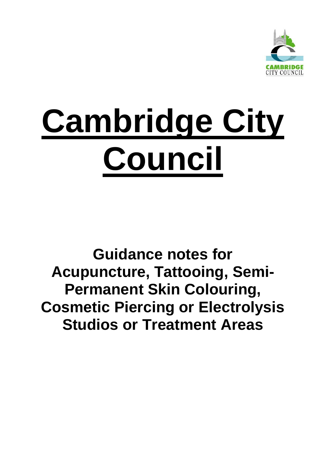

# **Cambridge City Council**

## **Guidance notes for Acupuncture, Tattooing, Semi-Permanent Skin Colouring, Cosmetic Piercing or Electrolysis Studios or Treatment Areas**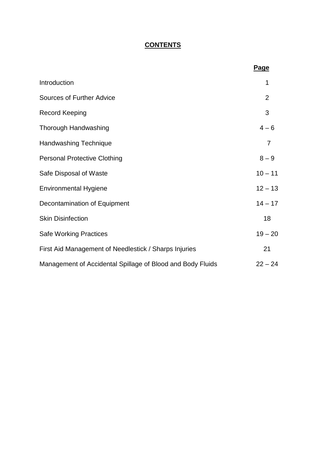### **CONTENTS**

|                                                            | <b>Page</b>    |
|------------------------------------------------------------|----------------|
| Introduction                                               | 1              |
| <b>Sources of Further Advice</b>                           | $\overline{2}$ |
| <b>Record Keeping</b>                                      | 3              |
| Thorough Handwashing                                       | $4 - 6$        |
| <b>Handwashing Technique</b>                               | 7              |
| <b>Personal Protective Clothing</b>                        | $8 - 9$        |
| Safe Disposal of Waste                                     | $10 - 11$      |
| <b>Environmental Hygiene</b>                               | $12 - 13$      |
| Decontamination of Equipment                               | $14 - 17$      |
| <b>Skin Disinfection</b>                                   | 18             |
| <b>Safe Working Practices</b>                              | $19 - 20$      |
| First Aid Management of Needlestick / Sharps Injuries      | 21             |
| Management of Accidental Spillage of Blood and Body Fluids | $22 - 24$      |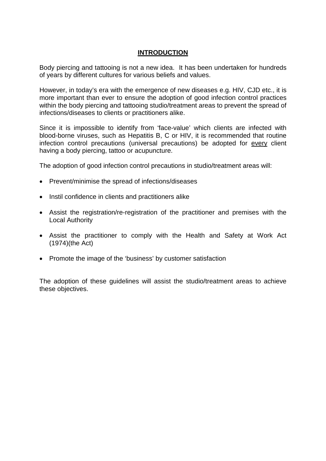#### **INTRODUCTION**

Body piercing and tattooing is not a new idea. It has been undertaken for hundreds of years by different cultures for various beliefs and values.

However, in today's era with the emergence of new diseases e.g. HIV, CJD etc., it is more important than ever to ensure the adoption of good infection control practices within the body piercing and tattooing studio/treatment areas to prevent the spread of infections/diseases to clients or practitioners alike.

Since it is impossible to identify from 'face-value' which clients are infected with blood-borne viruses, such as Hepatitis B, C or HIV, it is recommended that routine infection control precautions (universal precautions) be adopted for every client having a body piercing, tattoo or acupuncture.

The adoption of good infection control precautions in studio/treatment areas will:

- Prevent/minimise the spread of infections/diseases
- Instil confidence in clients and practitioners alike
- Assist the registration/re-registration of the practitioner and premises with the Local Authority
- Assist the practitioner to comply with the Health and Safety at Work Act (1974)(the Act)
- Promote the image of the 'business' by customer satisfaction

The adoption of these guidelines will assist the studio/treatment areas to achieve these objectives.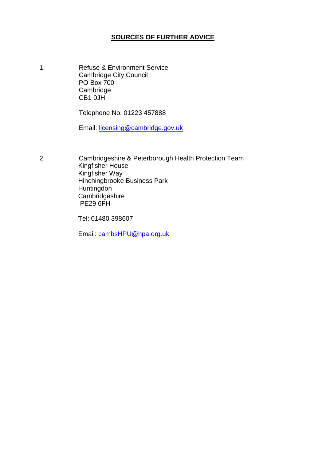#### **SOURCES OF FURTHER ADVICE**

1. Refuse & Environment Service Cambridge City Council PO Box 700 **Cambridge** CB1 0JH

Telephone No: 01223 457888

Email: [licensing@cambridge.gov.uk](mailto:licensing@cambridge.gov.uk)

2. Cambridgeshire & Peterborough Health Protection Team Kingfisher House Kingfisher Way Hinchingbrooke Business Park Huntingdon **Cambridgeshire** PE29 6FH

Tel: 01480 398607

Email: [cambsHPU@hpa.org.uk](mailto:cambsHPU@hpa.org.uk)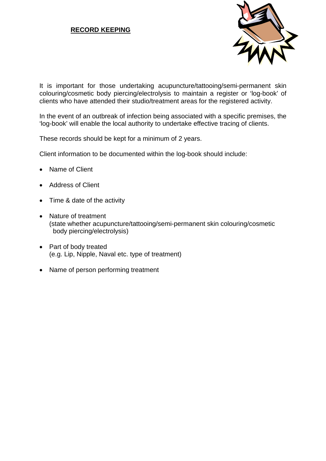#### **RECORD KEEPING**



It is important for those undertaking acupuncture/tattooing/semi-permanent skin colouring/cosmetic body piercing/electrolysis to maintain a register or 'log-book' of clients who have attended their studio/treatment areas for the registered activity.

In the event of an outbreak of infection being associated with a specific premises, the 'log-book' will enable the local authority to undertake effective tracing of clients.

These records should be kept for a minimum of 2 years.

Client information to be documented within the log-book should include:

- Name of Client
- Address of Client
- Time & date of the activity
- Nature of treatment (state whether acupuncture/tattooing/semi-permanent skin colouring/cosmetic body piercing/electrolysis)
- Part of body treated (e.g. Lip, Nipple, Naval etc. type of treatment)
- Name of person performing treatment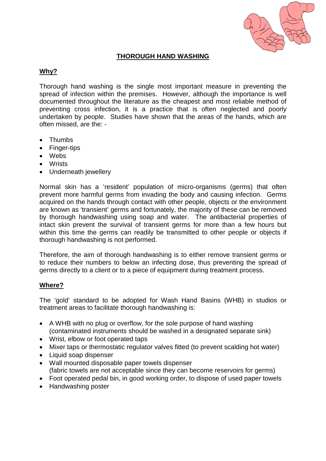

#### **THOROUGH HAND WASHING**

#### **Why?**

Thorough hand washing is the single most important measure in preventing the spread of infection within the premises. However, although the importance is well documented throughout the literature as the cheapest and most reliable method of preventing cross infection, it is a practice that is often neglected and poorly undertaken by people. Studies have shown that the areas of the hands, which are often missed, are the: -

- Thumbs
- Finger-tips
- Webs
- Wrists
- Underneath jewellery

Normal skin has a 'resident' population of micro-organisms (germs) that often prevent more harmful germs from invading the body and causing infection. Germs acquired on the hands through contact with other people, objects or the environment are known as 'transient' germs and fortunately, the majority of these can be removed by thorough handwashing using soap and water. The antibacterial properties of intact skin prevent the survival of transient germs for more than a few hours but within this time the germs can readily be transmitted to other people or objects if thorough handwashing is not performed.

Therefore, the aim of thorough handwashing is to either remove transient germs or to reduce their numbers to below an infecting dose, thus preventing the spread of germs directly to a client or to a piece of equipment during treatment process.

#### **Where?**

The 'gold' standard to be adopted for Wash Hand Basins (WHB) in studios or treatment areas to facilitate thorough handwashing is:

- A WHB with no plug or overflow, for the sole purpose of hand washing (contaminated instruments should be washed in a designated separate sink)
- Wrist, elbow or foot operated taps
- Mixer taps or thermostatic regulator valves fitted (to prevent scalding hot water)
- Liquid soap dispenser
- Wall mounted disposable paper towels dispenser (fabric towels are not acceptable since they can become reservoirs for germs)
- Foot operated pedal bin, in good working order, to dispose of used paper towels
- Handwashing poster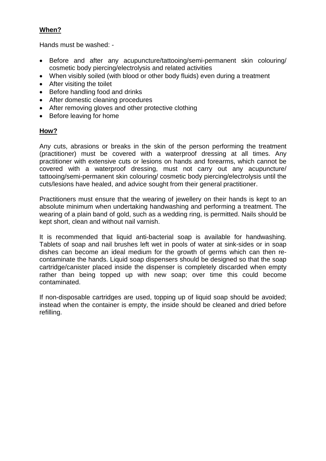#### **When?**

Hands must be washed: -

- Before and after any acupuncture/tattooing/semi-permanent skin colouring/ cosmetic body piercing/electrolysis and related activities
- When visibly soiled (with blood or other body fluids) even during a treatment
- After visiting the toilet
- Before handling food and drinks
- After domestic cleaning procedures
- After removing gloves and other protective clothing
- Before leaving for home

#### **How?**

Any cuts, abrasions or breaks in the skin of the person performing the treatment (practitioner) must be covered with a waterproof dressing at all times. Any practitioner with extensive cuts or lesions on hands and forearms, which cannot be covered with a waterproof dressing, must not carry out any acupuncture/ tattooing/semi-permanent skin colouring/ cosmetic body piercing/electrolysis until the cuts/lesions have healed, and advice sought from their general practitioner.

Practitioners must ensure that the wearing of jewellery on their hands is kept to an absolute minimum when undertaking handwashing and performing a treatment. The wearing of a plain band of gold, such as a wedding ring, is permitted. Nails should be kept short, clean and without nail varnish.

It is recommended that liquid anti-bacterial soap is available for handwashing. Tablets of soap and nail brushes left wet in pools of water at sink-sides or in soap dishes can become an ideal medium for the growth of germs which can then recontaminate the hands. Liquid soap dispensers should be designed so that the soap cartridge/canister placed inside the dispenser is completely discarded when empty rather than being topped up with new soap; over time this could become contaminated.

If non-disposable cartridges are used, topping up of liquid soap should be avoided; instead when the container is empty, the inside should be cleaned and dried before refilling.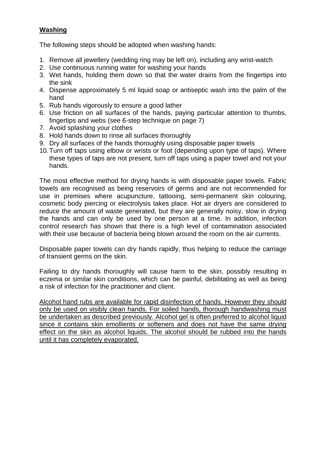#### **Washing**

The following steps should be adopted when washing hands:

- 1. Remove all jewellery (wedding ring may be left on), including any wrist-watch
- 2. Use continuous running water for washing your hands
- 3. Wet hands, holding them down so that the water drains from the fingertips into the sink
- 4. Dispense approximately 5 ml liquid soap or antiseptic wash into the palm of the hand
- 5. Rub hands vigorously to ensure a good lather
- 6. Use friction on all surfaces of the hands, paying particular attention to thumbs, fingertips and webs (see 6-step technique on page 7)
- 7. Avoid splashing your clothes
- 8. Hold hands down to rinse all surfaces thoroughly
- 9. Dry all surfaces of the hands thoroughly using disposable paper towels
- 10.Turn off taps using elbow or wrists or foot (depending upon type of taps). Where these types of taps are not present, turn off taps using a paper towel and not your hands.

The most effective method for drying hands is with disposable paper towels. Fabric towels are recognised as being reservoirs of germs and are not recommended for use in premises where acupuncture, tattooing, semi-permanent skin colouring, cosmetic body piercing or electrolysis takes place. Hot air dryers are considered to reduce the amount of waste generated, but they are generally noisy, slow in drying the hands and can only be used by one person at a time. In addition, infection control research has shown that there is a high level of contamination associated with their use because of bacteria being blown around the room on the air currents.

Disposable paper towels can dry hands rapidly, thus helping to reduce the carriage of transient germs on the skin.

Failing to dry hands thoroughly will cause harm to the skin, possibly resulting in eczema or similar skin conditions, which can be painful, debilitating as well as being a risk of infection for the practitioner and client.

Alcohol hand rubs are available for rapid disinfection of hands. However they should only be used on visibly clean hands. For soiled hands, thorough handwashing must be undertaken as described previously. Alcohol gel is often preferred to alcohol liquid since it contains skin emollients or softeners and does not have the same drying effect on the skin as alcohol liquids. The alcohol should be rubbed into the hands until it has completely evaporated.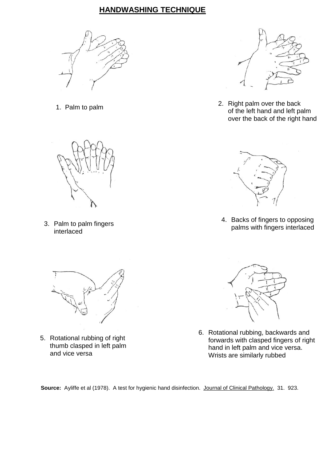## **HANDWASHING TECHNIQUE**





3. Palm to palm fingers interlaced



5. Rotational rubbing of right thumb clasped in left palm and vice versa



 1. Palm to palm 2. Right palm over the back of the left hand and left palm over the back of the right hand



4. Backs of fingers to opposing palms with fingers interlaced



6. Rotational rubbing, backwards and forwards with clasped fingers of right hand in left palm and vice versa. Wrists are similarly rubbed

**Source:** Ayliffe et al (1978). A test for hygienic hand disinfection. Journal of Clinical Pathology. 31. 923.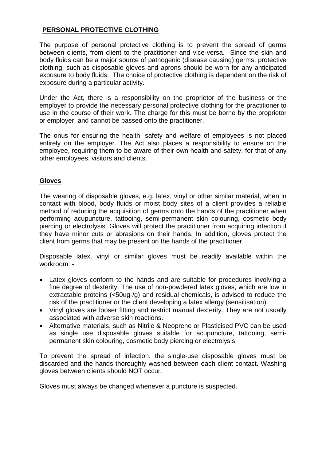#### **PERSONAL PROTECTIVE CLOTHING**

The purpose of personal protective clothing is to prevent the spread of germs between clients, from client to the practitioner and vice-versa. Since the skin and body fluids can be a major source of pathogenic (disease causing) germs, protective clothing, such as disposable gloves and aprons should be worn for any anticipated exposure to body fluids. The choice of protective clothing is dependent on the risk of exposure during a particular activity.

Under the Act, there is a responsibility on the proprietor of the business or the employer to provide the necessary personal protective clothing for the practitioner to use in the course of their work. The charge for this must be borne by the proprietor or employer, and cannot be passed onto the practitioner.

The onus for ensuring the health, safety and welfare of employees is not placed entirely on the employer. The Act also places a responsibility to ensure on the employee, requiring them to be aware of their own health and safety, for that of any other employees, visitors and clients.

#### **Gloves**

The wearing of disposable gloves, e.g. latex, vinyl or other similar material, when in contact with blood, body fluids or moist body sites of a client provides a reliable method of reducing the acquisition of germs onto the hands of the practitioner when performing acupuncture, tattooing, semi-permanent skin colouring, cosmetic body piercing or electrolysis. Gloves will protect the practitioner from acquiring infection if they have minor cuts or abrasions on their hands. In addition, gloves protect the client from germs that may be present on the hands of the practitioner.

Disposable latex, vinyl or similar gloves must be readily available within the workroom: -

- Latex gloves conform to the hands and are suitable for procedures involving a fine degree of dexterity. The use of non-powdered latex gloves, which are low in extractable proteins (<50ug-/g) and residual chemicals, is advised to reduce the risk of the practitioner or the client developing a latex allergy (sensitisation).
- Vinyl gloves are looser fitting and restrict manual dexterity. They are not usually associated with adverse skin reactions.
- Alternative materials, such as Nitrile & Neoprene or Plasticised PVC can be used as single use disposable gloves suitable for acupuncture, tattooing, semipermanent skin colouring, cosmetic body piercing or electrolysis.

To prevent the spread of infection, the single-use disposable gloves must be discarded and the hands thoroughly washed between each client contact. Washing gloves between clients should NOT occur.

Gloves must always be changed whenever a puncture is suspected.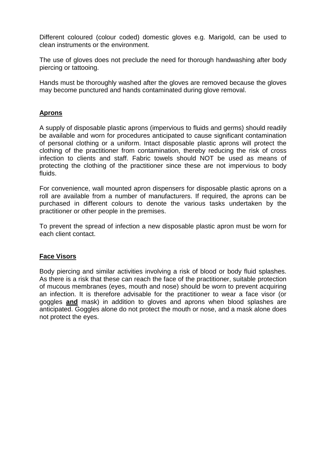Different coloured (colour coded) domestic gloves e.g. Marigold, can be used to clean instruments or the environment.

The use of gloves does not preclude the need for thorough handwashing after body piercing or tattooing.

Hands must be thoroughly washed after the gloves are removed because the gloves may become punctured and hands contaminated during glove removal.

#### **Aprons**

A supply of disposable plastic aprons (impervious to fluids and germs) should readily be available and worn for procedures anticipated to cause significant contamination of personal clothing or a uniform. Intact disposable plastic aprons will protect the clothing of the practitioner from contamination, thereby reducing the risk of cross infection to clients and staff. Fabric towels should NOT be used as means of protecting the clothing of the practitioner since these are not impervious to body fluids.

For convenience, wall mounted apron dispensers for disposable plastic aprons on a roll are available from a number of manufacturers. If required, the aprons can be purchased in different colours to denote the various tasks undertaken by the practitioner or other people in the premises.

To prevent the spread of infection a new disposable plastic apron must be worn for each client contact.

#### **Face Visors**

Body piercing and similar activities involving a risk of blood or body fluid splashes. As there is a risk that these can reach the face of the practitioner, suitable protection of mucous membranes (eyes, mouth and nose) should be worn to prevent acquiring an infection. It is therefore advisable for the practitioner to wear a face visor (or goggles **and** mask) in addition to gloves and aprons when blood splashes are anticipated. Goggles alone do not protect the mouth or nose, and a mask alone does not protect the eyes.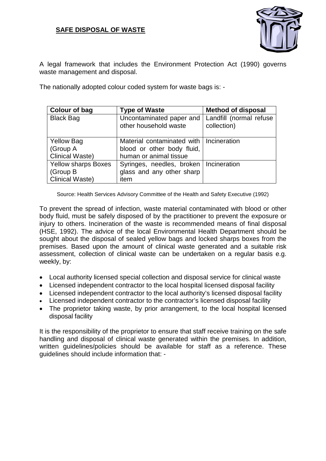#### **SAFE DISPOSAL OF WASTE**



A legal framework that includes the Environment Protection Act (1990) governs waste management and disposal.

The nationally adopted colour coded system for waste bags is: -

| Colour of bag                 | <b>Type of Waste</b>                                                    | <b>Method of disposal</b>              |
|-------------------------------|-------------------------------------------------------------------------|----------------------------------------|
| <b>Black Bag</b>              | Uncontaminated paper and<br>other household waste                       | Landfill (normal refuse<br>collection) |
| <b>Yellow Bag</b><br>(Group A | Material contaminated with   Incineration<br>blood or other body fluid, |                                        |
| <b>Clinical Waste)</b>        | human or animal tissue                                                  |                                        |
| <b>Yellow sharps Boxes</b>    | Syringes, needles, broken   Incineration                                |                                        |
| (Group B)                     | glass and any other sharp                                               |                                        |
| <b>Clinical Waste)</b>        | item                                                                    |                                        |

Source: Health Services Advisory Committee of the Health and Safety Executive (1992)

To prevent the spread of infection, waste material contaminated with blood or other body fluid, must be safely disposed of by the practitioner to prevent the exposure or injury to others. Incineration of the waste is recommended means of final disposal (HSE, 1992). The advice of the local Environmental Health Department should be sought about the disposal of sealed yellow bags and locked sharps boxes from the premises. Based upon the amount of clinical waste generated and a suitable risk assessment, collection of clinical waste can be undertaken on a regular basis e.g. weekly, by:

- Local authority licensed special collection and disposal service for clinical waste
- Licensed independent contractor to the local hospital licensed disposal facility
- Licensed independent contractor to the local authority's licensed disposal facility
- Licensed independent contractor to the contractor's licensed disposal facility
- The proprietor taking waste, by prior arrangement, to the local hospital licensed disposal facility

It is the responsibility of the proprietor to ensure that staff receive training on the safe handling and disposal of clinical waste generated within the premises. In addition, written guidelines/policies should be available for staff as a reference. These guidelines should include information that: -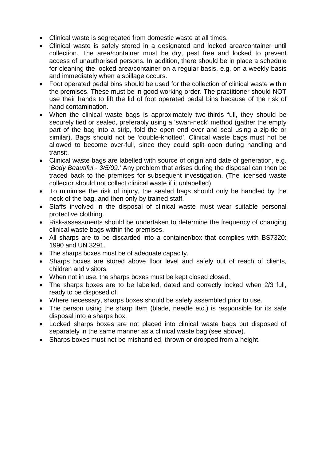- Clinical waste is segregated from domestic waste at all times.
- Clinical waste is safely stored in a designated and locked area/container until collection. The area/container must be dry, pest free and locked to prevent access of unauthorised persons. In addition, there should be in place a schedule for cleaning the locked area/container on a regular basis, e.g. on a weekly basis and immediately when a spillage occurs.
- Foot operated pedal bins should be used for the collection of clinical waste within the premises. These must be in good working order. The practitioner should NOT use their hands to lift the lid of foot operated pedal bins because of the risk of hand contamination.
- When the clinical waste bags is approximately two-thirds full, they should be securely tied or sealed, preferably using a 'swan-neck' method (gather the empty part of the bag into a strip, fold the open end over and seal using a zip-tie or similar). Bags should not be 'double-knotted'. Clinical waste bags must not be allowed to become over-full, since they could split open during handling and transit.
- Clinical waste bags are labelled with source of origin and date of generation, e.g. '*Body Beautiful - 3/5/09.'* Any problem that arises during the disposal can then be traced back to the premises for subsequent investigation. (The licensed waste collector should not collect clinical waste if it unlabelled)
- To minimise the risk of injury, the sealed bags should only be handled by the neck of the bag, and then only by trained staff.
- Staffs involved in the disposal of clinical waste must wear suitable personal protective clothing.
- Risk-assessments should be undertaken to determine the frequency of changing clinical waste bags within the premises.
- All sharps are to be discarded into a container/box that complies with BS7320: 1990 and UN 3291.
- The sharps boxes must be of adequate capacity.
- Sharps boxes are stored above floor level and safely out of reach of clients, children and visitors.
- When not in use, the sharps boxes must be kept closed closed.
- The sharps boxes are to be labelled, dated and correctly locked when 2/3 full, ready to be disposed of.
- Where necessary, sharps boxes should be safely assembled prior to use.
- The person using the sharp item (blade, needle etc.) is responsible for its safe disposal into a sharps box.
- Locked sharps boxes are not placed into clinical waste bags but disposed of separately in the same manner as a clinical waste bag (see above).
- Sharps boxes must not be mishandled, thrown or dropped from a height.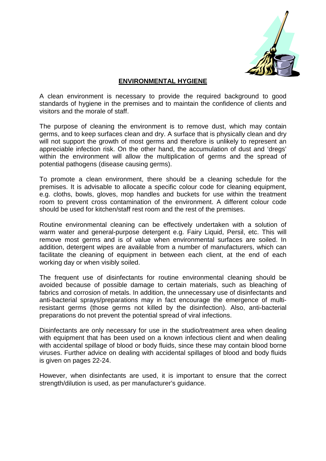

#### **ENVIRONMENTAL HYGIENE**

A clean environment is necessary to provide the required background to good standards of hygiene in the premises and to maintain the confidence of clients and visitors and the morale of staff.

The purpose of cleaning the environment is to remove dust, which may contain germs, and to keep surfaces clean and dry. A surface that is physically clean and dry will not support the growth of most germs and therefore is unlikely to represent an appreciable infection risk. On the other hand, the accumulation of dust and 'dregs' within the environment will allow the multiplication of germs and the spread of potential pathogens (disease causing germs).

To promote a clean environment, there should be a cleaning schedule for the premises. It is advisable to allocate a specific colour code for cleaning equipment, e.g. cloths, bowls, gloves, mop handles and buckets for use within the treatment room to prevent cross contamination of the environment. A different colour code should be used for kitchen/staff rest room and the rest of the premises.

Routine environmental cleaning can be effectively undertaken with a solution of warm water and general-purpose detergent e.g. Fairy Liquid, Persil, etc. This will remove most germs and is of value when environmental surfaces are soiled. In addition, detergent wipes are available from a number of manufacturers, which can facilitate the cleaning of equipment in between each client, at the end of each working day or when visibly soiled.

The frequent use of disinfectants for routine environmental cleaning should be avoided because of possible damage to certain materials, such as bleaching of fabrics and corrosion of metals. In addition, the unnecessary use of disinfectants and anti-bacterial sprays/preparations may in fact encourage the emergence of multiresistant germs (those germs not killed by the disinfection). Also, anti-bacterial preparations do not prevent the potential spread of viral infections.

Disinfectants are only necessary for use in the studio/treatment area when dealing with equipment that has been used on a known infectious client and when dealing with accidental spillage of blood or body fluids, since these may contain blood borne viruses. Further advice on dealing with accidental spillages of blood and body fluids is given on pages 22-24.

However, when disinfectants are used, it is important to ensure that the correct strength/dilution is used, as per manufacturer's guidance.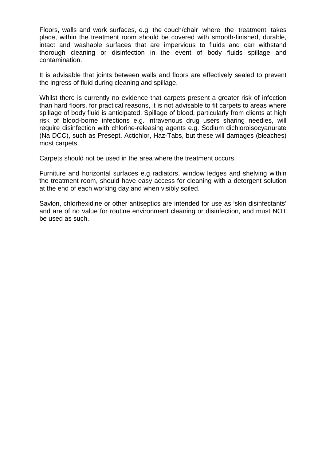Floors, walls and work surfaces, e.g. the couch/chair where the treatment takes place, within the treatment room should be covered with smooth-finished, durable, intact and washable surfaces that are impervious to fluids and can withstand thorough cleaning or disinfection in the event of body fluids spillage and contamination.

It is advisable that joints between walls and floors are effectively sealed to prevent the ingress of fluid during cleaning and spillage.

Whilst there is currently no evidence that carpets present a greater risk of infection than hard floors, for practical reasons, it is not advisable to fit carpets to areas where spillage of body fluid is anticipated. Spillage of blood, particularly from clients at high risk of blood-borne infections e.g. intravenous drug users sharing needles, will require disinfection with chlorine-releasing agents e.g. Sodium dichloroisocyanurate (Na DCC), such as Presept, Actichlor, Haz-Tabs, but these will damages (bleaches) most carpets.

Carpets should not be used in the area where the treatment occurs.

Furniture and horizontal surfaces e.g radiators, window ledges and shelving within the treatment room, should have easy access for cleaning with a detergent solution at the end of each working day and when visibly soiled.

Savlon, chlorhexidine or other antiseptics are intended for use as 'skin disinfectants' and are of no value for routine environment cleaning or disinfection, and must NOT be used as such.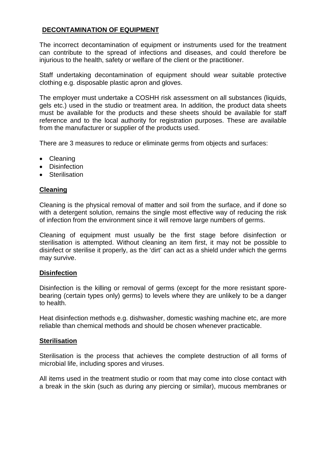#### **DECONTAMINATION OF EQUIPMENT**

The incorrect decontamination of equipment or instruments used for the treatment can contribute to the spread of infections and diseases, and could therefore be injurious to the health, safety or welfare of the client or the practitioner.

Staff undertaking decontamination of equipment should wear suitable protective clothing e.g. disposable plastic apron and gloves.

The employer must undertake a COSHH risk assessment on all substances (liquids, gels etc.) used in the studio or treatment area. In addition, the product data sheets must be available for the products and these sheets should be available for staff reference and to the local authority for registration purposes. These are available from the manufacturer or supplier of the products used.

There are 3 measures to reduce or eliminate germs from objects and surfaces:

- Cleaning
- Disinfection
- Sterilisation

#### **Cleaning**

Cleaning is the physical removal of matter and soil from the surface, and if done so with a detergent solution, remains the single most effective way of reducing the risk of infection from the environment since it will remove large numbers of germs.

Cleaning of equipment must usually be the first stage before disinfection or sterilisation is attempted. Without cleaning an item first, it may not be possible to disinfect or sterilise it properly, as the 'dirt' can act as a shield under which the germs may survive.

#### **Disinfection**

Disinfection is the killing or removal of germs (except for the more resistant sporebearing (certain types only) germs) to levels where they are unlikely to be a danger to health.

Heat disinfection methods e.g. dishwasher, domestic washing machine etc, are more reliable than chemical methods and should be chosen whenever practicable.

#### **Sterilisation**

Sterilisation is the process that achieves the complete destruction of all forms of microbial life, including spores and viruses.

All items used in the treatment studio or room that may come into close contact with a break in the skin (such as during any piercing or similar), mucous membranes or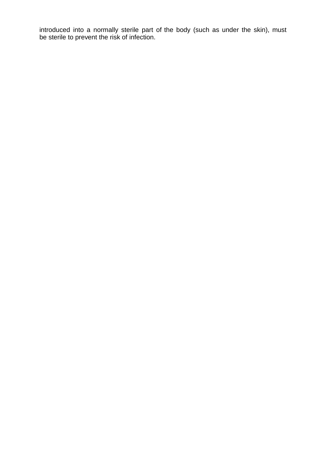introduced into a normally sterile part of the body (such as under the skin), must be sterile to prevent the risk of infection.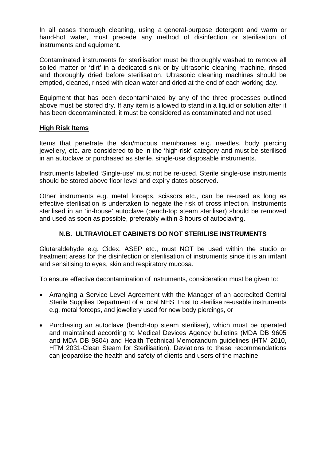In all cases thorough cleaning, using a general-purpose detergent and warm or hand-hot water, must precede any method of disinfection or sterilisation of instruments and equipment.

Contaminated instruments for sterilisation must be thoroughly washed to remove all soiled matter or 'dirt' in a dedicated sink or by ultrasonic cleaning machine, rinsed and thoroughly dried before sterilisation. Ultrasonic cleaning machines should be emptied, cleaned, rinsed with clean water and dried at the end of each working day.

Equipment that has been decontaminated by any of the three processes outlined above must be stored dry. If any item is allowed to stand in a liquid or solution after it has been decontaminated, it must be considered as contaminated and not used.

#### **High Risk Items**

Items that penetrate the skin/mucous membranes e.g. needles, body piercing jewellery, etc. are considered to be in the 'high-risk' category and must be sterilised in an autoclave or purchased as sterile, single-use disposable instruments.

Instruments labelled 'Single-use' must not be re-used. Sterile single-use instruments should be stored above floor level and expiry dates observed.

Other instruments e.g. metal forceps, scissors etc., can be re-used as long as effective sterilisation is undertaken to negate the risk of cross infection. Instruments sterilised in an 'in-house' autoclave (bench-top steam steriliser) should be removed and used as soon as possible, preferably within 3 hours of autoclaving.

#### **N.B. ULTRAVIOLET CABINETS DO NOT STERILISE INSTRUMENTS**

Glutaraldehyde e.g. Cidex, ASEP etc., must NOT be used within the studio or treatment areas for the disinfection or sterilisation of instruments since it is an irritant and sensitising to eyes, skin and respiratory mucosa.

To ensure effective decontamination of instruments, consideration must be given to:

- Arranging a Service Level Agreement with the Manager of an accredited Central Sterile Supplies Department of a local NHS Trust to sterilise re-usable instruments e.g. metal forceps, and jewellery used for new body piercings, or
- Purchasing an autoclave (bench-top steam steriliser), which must be operated and maintained according to Medical Devices Agency bulletins (MDA DB 9605 and MDA DB 9804) and Health Technical Memorandum guidelines (HTM 2010, HTM 2031-Clean Steam for Sterilisation). Deviations to these recommendations can jeopardise the health and safety of clients and users of the machine.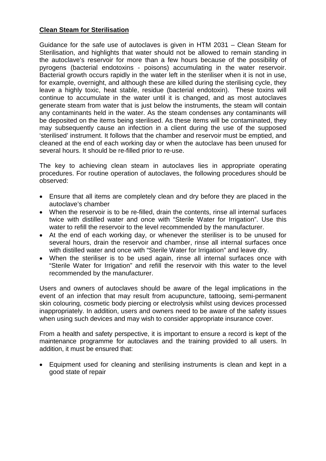#### **Clean Steam for Sterilisation**

Guidance for the safe use of autoclaves is given in HTM 2031 – Clean Steam for Sterilisation, and highlights that water should not be allowed to remain standing in the autoclave's reservoir for more than a few hours because of the possibility of pyrogens (bacterial endotoxins - poisons) accumulating in the water reservoir. Bacterial growth occurs rapidly in the water left in the steriliser when it is not in use, for example, overnight, and although these are killed during the sterilising cycle, they leave a highly toxic, heat stable, residue (bacterial endotoxin). These toxins will continue to accumulate in the water until it is changed, and as most autoclaves generate steam from water that is just below the instruments, the steam will contain any contaminants held in the water. As the steam condenses any contaminants will be deposited on the items being sterilised. As these items will be contaminated, they may subsequently cause an infection in a client during the use of the supposed 'sterilised' instrument. It follows that the chamber and reservoir must be emptied, and cleaned at the end of each working day or when the autoclave has been unused for several hours. It should be re-filled prior to re-use.

The key to achieving clean steam in autoclaves lies in appropriate operating procedures. For routine operation of autoclaves, the following procedures should be observed:

- Ensure that all items are completely clean and dry before they are placed in the autoclave's chamber
- When the reservoir is to be re-filled, drain the contents, rinse all internal surfaces twice with distilled water and once with "Sterile Water for Irrigation". Use this water to refill the reservoir to the level recommended by the manufacturer.
- At the end of each working day, or whenever the steriliser is to be unused for several hours, drain the reservoir and chamber, rinse all internal surfaces once with distilled water and once with "Sterile Water for Irrigation" and leave dry.
- When the steriliser is to be used again, rinse all internal surfaces once with "Sterile Water for Irrigation" and refill the reservoir with this water to the level recommended by the manufacturer.

Users and owners of autoclaves should be aware of the legal implications in the event of an infection that may result from acupuncture, tattooing, semi-permanent skin colouring, cosmetic body piercing or electrolysis whilst using devices processed inappropriately. In addition, users and owners need to be aware of the safety issues when using such devices and may wish to consider appropriate insurance cover.

From a health and safety perspective, it is important to ensure a record is kept of the maintenance programme for autoclaves and the training provided to all users. In addition, it must be ensured that:

• Equipment used for cleaning and sterilising instruments is clean and kept in a good state of repair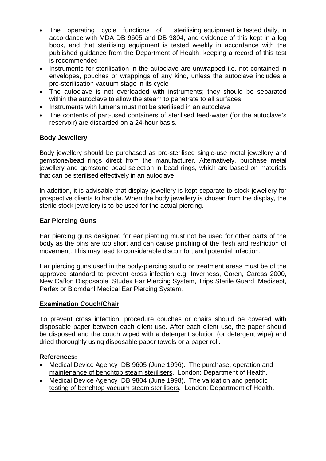- The operating cycle functions of sterilising equipment is tested daily, in accordance with MDA DB 9605 and DB 9804, and evidence of this kept in a log book, and that sterilising equipment is tested weekly in accordance with the published guidance from the Department of Health; keeping a record of this test is recommended
- Instruments for sterilisation in the autoclave are unwrapped i.e. not contained in envelopes, pouches or wrappings of any kind, unless the autoclave includes a pre-sterilisation vacuum stage in its cycle
- The autoclave is not overloaded with instruments; they should be separated within the autoclave to allow the steam to penetrate to all surfaces
- Instruments with lumens must not be sterilised in an autoclave
- The contents of part-used containers of sterilised feed-water (for the autoclave's reservoir) are discarded on a 24-hour basis.

#### **Body Jewellery**

Body jewellery should be purchased as pre-sterilised single-use metal jewellery and gemstone/bead rings direct from the manufacturer. Alternatively, purchase metal jewellery and gemstone bead selection in bead rings, which are based on materials that can be sterilised effectively in an autoclave.

In addition, it is advisable that display jewellery is kept separate to stock jewellery for prospective clients to handle. When the body jewellery is chosen from the display, the sterile stock jewellery is to be used for the actual piercing.

#### **Ear Piercing Guns**

Ear piercing guns designed for ear piercing must not be used for other parts of the body as the pins are too short and can cause pinching of the flesh and restriction of movement. This may lead to considerable discomfort and potential infection.

Ear piercing guns used in the body-piercing studio or treatment areas must be of the approved standard to prevent cross infection e.g. Inverness, Coren, Caress 2000, New Caflon Disposable, Studex Ear Piercing System, Trips Sterile Guard, Medisept, Perfex or Blomdahl Medical Ear Piercing System.

#### **Examination Couch/Chair**

To prevent cross infection, procedure couches or chairs should be covered with disposable paper between each client use. After each client use, the paper should be disposed and the couch wiped with a detergent solution (or detergent wipe) and dried thoroughly using disposable paper towels or a paper roll.

#### **References:**

- Medical Device Agency DB 9605 (June 1996). The purchase, operation and maintenance of benchtop steam sterilisers. London: Department of Health.
- Medical Device Agency DB 9804 (June 1998). The validation and periodic testing of benchtop vacuum steam sterilisers. London: Department of Health.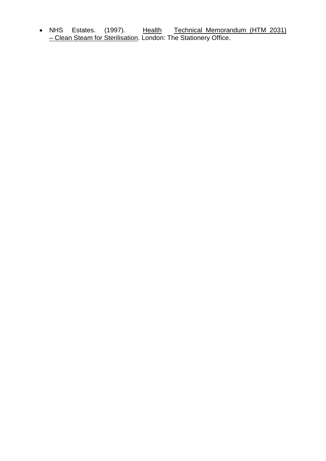• NHS Estates. (1997). Health Technical Memorandum (HTM 2031) <u>– Clean Steam for Sterilisation</u>. London: The Stationery Office.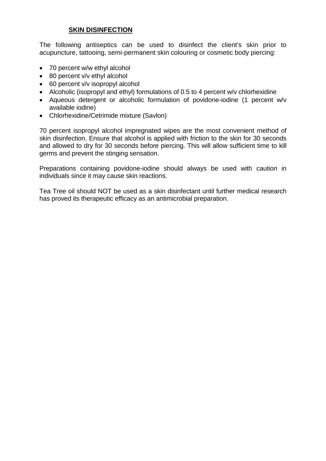#### **SKIN DISINFECTION**

The following antiseptics can be used to disinfect the client's skin prior to acupuncture, tattooing, semi-permanent skin colouring or cosmetic body piercing:

- 70 percent w/w ethyl alcohol
- 80 percent v/v ethyl alcohol
- 60 percent v/v isopropyl alcohol
- Alcoholic (isopropyl and ethyl) formulations of 0.5 to 4 percent w/v chlorhexidine
- Aqueous detergent or alcoholic formulation of povidone-iodine (1 percent w/v available iodine)
- Chlorhexidine/Cetrimide mixture (Savlon)

70 percent isopropyl alcohol impregnated wipes are the most convenient method of skin disinfection. Ensure that alcohol is applied with friction to the skin for 30 seconds and allowed to dry for 30 seconds before piercing. This will allow sufficient time to kill germs and prevent the stinging sensation.

Preparations containing povidone-iodine should always be used with caution in individuals since it may cause skin reactions.

Tea Tree oil should NOT be used as a skin disinfectant until further medical research has proved its therapeutic efficacy as an antimicrobial preparation.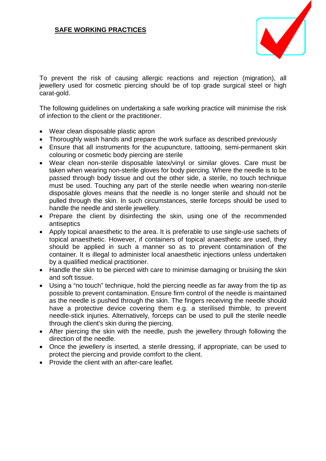

To prevent the risk of causing allergic reactions and rejection (migration), all jewellery used for cosmetic piercing should be of top grade surgical steel or high carat-gold.

The following guidelines on undertaking a safe working practice will minimise the risk of infection to the client or the practitioner.

- Wear clean disposable plastic apron
- Thoroughly wash hands and prepare the work surface as described previously
- Ensure that all instruments for the acupuncture, tattooing, semi-permanent skin colouring or cosmetic body piercing are sterile
- Wear clean non-sterile disposable latex/vinyl or similar gloves. Care must be taken when wearing non-sterile gloves for body piercing. Where the needle is to be passed through body tissue and out the other side, a sterile, no touch technique must be used. Touching any part of the sterile needle when wearing non-sterile disposable gloves means that the needle is no longer sterile and should not be pulled through the skin. In such circumstances, sterile forceps should be used to handle the needle and sterile jewellery.
- Prepare the client by disinfecting the skin, using one of the recommended antiseptics
- Apply topical anaesthetic to the area. It is preferable to use single-use sachets of topical anaesthetic. However, if containers of topical anaesthetic are used, they should be applied in such a manner so as to prevent contamination of the container. It is illegal to administer local anaesthetic injections unless undertaken by a qualified medical practitioner.
- Handle the skin to be pierced with care to minimise damaging or bruising the skin and soft tissue.
- Using a "no touch" technique, hold the piercing needle as far away from the tip as possible to prevent contamination. Ensure firm control of the needle is maintained as the needle is pushed through the skin. The fingers receiving the needle should have a protective device covering them e.g. a sterilised thimble, to prevent needle-stick injuries. Alternatively, forceps can be used to pull the sterile needle through the client's skin during the piercing.
- After piercing the skin with the needle, push the jewellery through following the direction of the needle.
- Once the jewellery is inserted, a sterile dressing, if appropriate, can be used to protect the piercing and provide comfort to the client.
- Provide the client with an after-care leaflet.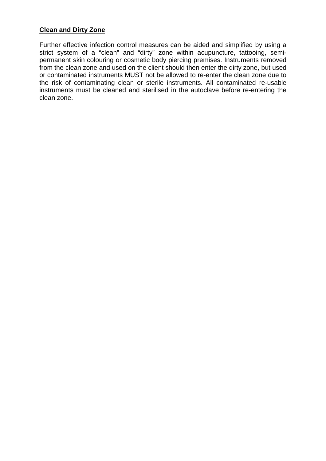#### **Clean and Dirty Zone**

Further effective infection control measures can be aided and simplified by using a strict system of a "clean" and "dirty" zone within acupuncture, tattooing, semipermanent skin colouring or cosmetic body piercing premises. Instruments removed from the clean zone and used on the client should then enter the dirty zone, but used or contaminated instruments MUST not be allowed to re-enter the clean zone due to the risk of contaminating clean or sterile instruments. All contaminated re-usable instruments must be cleaned and sterilised in the autoclave before re-entering the clean zone.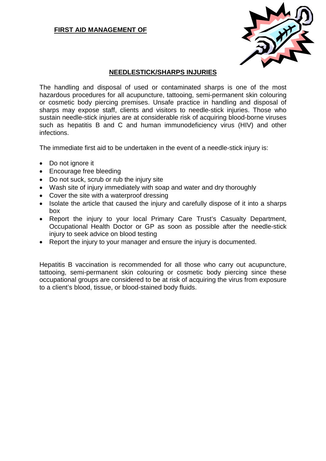#### **FIRST AID MANAGEMENT OF**



#### **NEEDLESTICK/SHARPS INJURIES**

The handling and disposal of used or contaminated sharps is one of the most hazardous procedures for all acupuncture, tattooing, semi-permanent skin colouring or cosmetic body piercing premises. Unsafe practice in handling and disposal of sharps may expose staff, clients and visitors to needle-stick injuries. Those who sustain needle-stick injuries are at considerable risk of acquiring blood-borne viruses such as hepatitis B and C and human immunodeficiency virus (HIV) and other infections.

The immediate first aid to be undertaken in the event of a needle-stick injury is:

- Do not ignore it
- Encourage free bleeding
- Do not suck, scrub or rub the injury site
- Wash site of injury immediately with soap and water and dry thoroughly
- Cover the site with a waterproof dressing
- Isolate the article that caused the injury and carefully dispose of it into a sharps box
- Report the injury to your local Primary Care Trust's Casualty Department, Occupational Health Doctor or GP as soon as possible after the needle-stick injury to seek advice on blood testing
- Report the injury to your manager and ensure the injury is documented.

Hepatitis B vaccination is recommended for all those who carry out acupuncture, tattooing, semi-permanent skin colouring or cosmetic body piercing since these occupational groups are considered to be at risk of acquiring the virus from exposure to a client's blood, tissue, or blood-stained body fluids.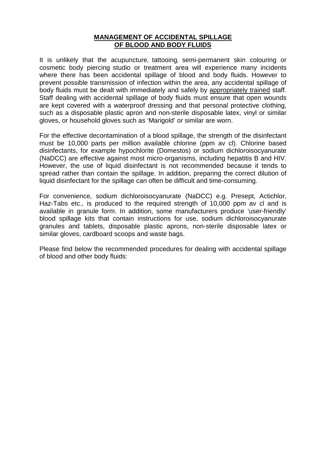#### **MANAGEMENT OF ACCIDENTAL SPILLAGE OF BLOOD AND BODY FLUIDS**

It is unlikely that the acupuncture, tattooing, semi-permanent skin colouring or cosmetic body piercing studio or treatment area will experience many incidents where there has been accidental spillage of blood and body fluids. However to prevent possible transmission of infection within the area, any accidental spillage of body fluids must be dealt with immediately and safely by appropriately trained staff. Staff dealing with accidental spillage of body fluids must ensure that open wounds are kept covered with a waterproof dressing and that personal protective clothing, such as a disposable plastic apron and non-sterile disposable latex, vinyl or similar gloves, or household gloves such as 'Marigold' or similar are worn.

For the effective decontamination of a blood spillage, the strength of the disinfectant must be 10,000 parts per million available chlorine (ppm av cl). Chlorine based disinfectants, for example hypochlorite (Domestos) or sodium dichloroisocyanurate (NaDCC) are effective against most micro-organisms, including hepatitis B and HIV. However, the use of liquid disinfectant is not recommended because it tends to spread rather than contain the spillage. In addition, preparing the correct dilution of liquid disinfectant for the spillage can often be difficult and time-consuming.

For convenience, sodium dichloroisocyanurate (NaDCC) e.g. Presept, Actichlor, Haz-Tabs etc., is produced to the required strength of 10,000 ppm av cl and is available in granule form. In addition, some manufacturers produce 'user-friendly' blood spillage kits that contain instructions for use, sodium dichloroisocyanurate granules and tablets, disposable plastic aprons, non-sterile disposable latex or similar gloves, cardboard scoops and waste bags.

Please find below the recommended procedures for dealing with accidental spillage of blood and other body fluids: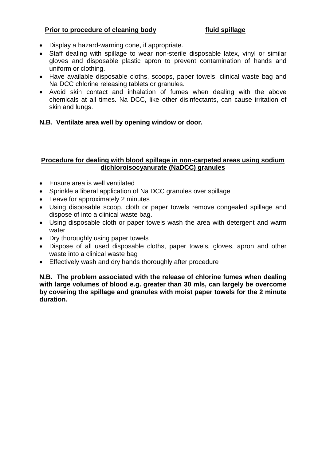#### **Prior to procedure of cleaning body fluid spillage**

- Display a hazard-warning cone, if appropriate.
- Staff dealing with spillage to wear non-sterile disposable latex, vinyl or similar gloves and disposable plastic apron to prevent contamination of hands and uniform or clothing.
- Have available disposable cloths, scoops, paper towels, clinical waste bag and Na DCC chlorine releasing tablets or granules.
- Avoid skin contact and inhalation of fumes when dealing with the above chemicals at all times. Na DCC, like other disinfectants, can cause irritation of skin and lungs.

#### **N.B. Ventilate area well by opening window or door.**

#### **Procedure for dealing with blood spillage in non-carpeted areas using sodium dichloroisocyanurate (NaDCC) granules**

- Ensure area is well ventilated
- Sprinkle a liberal application of Na DCC granules over spillage
- Leave for approximately 2 minutes
- Using disposable scoop, cloth or paper towels remove congealed spillage and dispose of into a clinical waste bag.
- Using disposable cloth or paper towels wash the area with detergent and warm water
- Dry thoroughly using paper towels
- Dispose of all used disposable cloths, paper towels, gloves, apron and other waste into a clinical waste bag
- Effectively wash and dry hands thoroughly after procedure

**N.B. The problem associated with the release of chlorine fumes when dealing with large volumes of blood e.g. greater than 30 mls, can largely be overcome by covering the spillage and granules with moist paper towels for the 2 minute duration.**